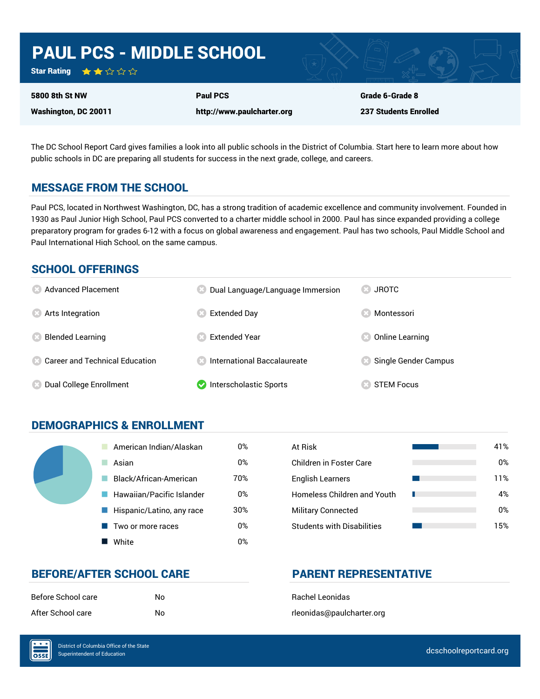# PAUL PCS - MIDDLE SCHOOL

Star Rating ★★☆☆☆

5800 8th St NW

Washington, DC 20011

http://www.paulcharter.org

Paul PCS

Grade 6-Grade 8 237 Students Enrolled

The DC School Report Card gives families a look into all public schools in the District of Columbia. Start here to learn more about how public schools in DC are preparing all students for success in the next grade, college, and careers.

### MESSAGE FROM THE SCHOOL

Paul PCS, located in Northwest Washington, DC, has a strong tradition of academic excellence and community involvement. Founded in 1930 as Paul Junior High School, Paul PCS converted to a charter middle school in 2000. Paul has since expanded providing a college preparatory program for grades 6-12 with a focus on global awareness and engagement. Paul has two schools, Paul Middle School and Paul International High School, on the same campus.

### SCHOOL OFFERINGS

| <b>8</b> Advanced Placement             | Dual Language/Language Immersion     | <b>JROTC</b>         |
|-----------------------------------------|--------------------------------------|----------------------|
| <b>8</b> Arts Integration               | Extended Day                         | Montessori           |
| <b>Blended Learning</b>                 | <b>Extended Year</b>                 | Online Learning      |
| <b>Conveyer and Technical Education</b> | <b>8</b> International Baccalaureate | Single Gender Campus |
| <b>(8) Dual College Enrollment</b>      | Interscholastic Sports               | <b>STEM Focus</b>    |

### DEMOGRAPHICS & ENROLLMENT

| American Indian/Alaskan   | 0%  | At Risk                            |
|---------------------------|-----|------------------------------------|
| Asian                     | 0%  | <b>Children in Foster Care</b>     |
| Black/African-American    | 70% | <b>English Learners</b>            |
| Hawaiian/Pacific Islander | 0%  | <b>Homeless Children and Youth</b> |
| Hispanic/Latino, any race | 30% | <b>Military Connected</b>          |
| Two or more races         | 0%  | <b>Students with Disabilities</b>  |
| White                     | 0%  |                                    |

| At Risk                            | 41% |
|------------------------------------|-----|
| Children in Foster Care            | 0%  |
| <b>English Learners</b>            | 11% |
| <b>Homeless Children and Youth</b> | 4%  |
| <b>Military Connected</b>          | 0%  |
| <b>Students with Disabilities</b>  | 15% |

### BEFORE/AFTER SCHOOL CARE **PARENT REPRESENTATIVE**

| Before School care | N٥ |
|--------------------|----|
| After School care  | N٥ |

**Bachel Leonidas** rleonidas@paulcharter.org

OSSE